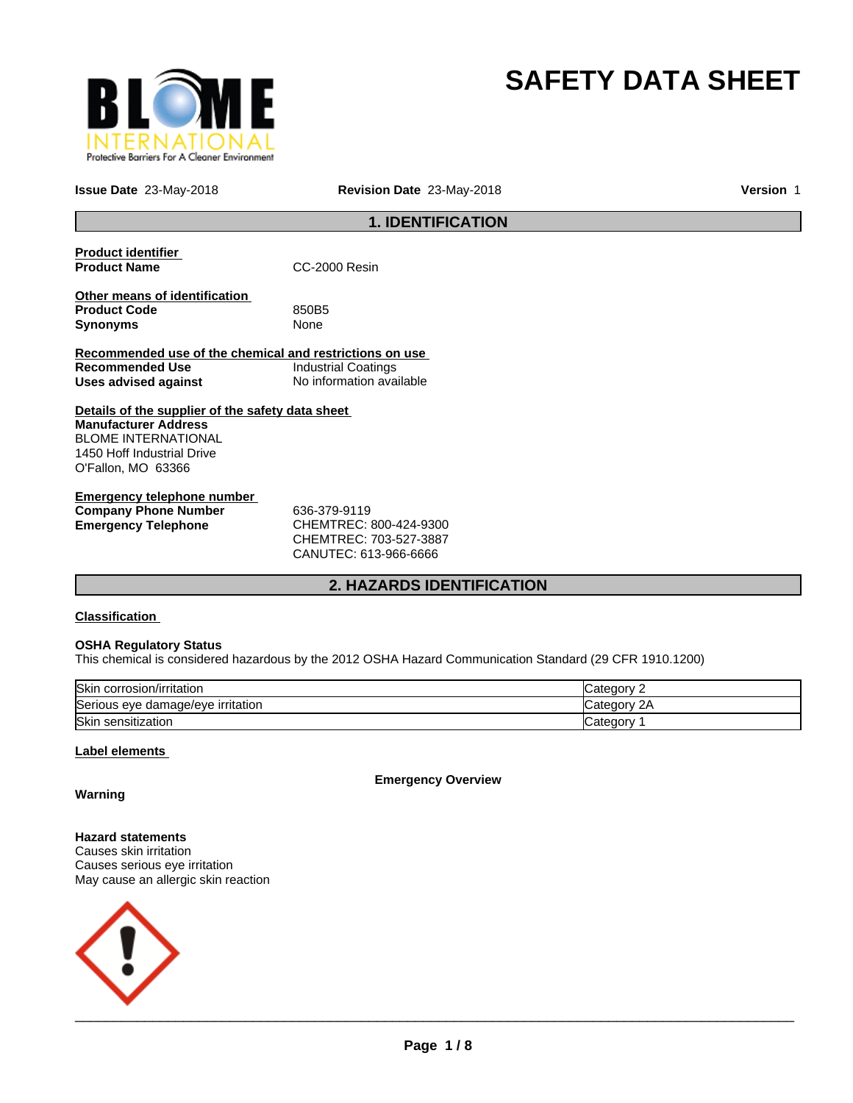

# **SAFETY DATA SHEET**

**Issue Date** 23-May-2018 **Revision Date** 23-May-2018 **Version** 1

## **1. IDENTIFICATION**

| <b>Product identifier</b><br><b>Product Name</b>                                                                                                                  | CC-2000 Resin              |
|-------------------------------------------------------------------------------------------------------------------------------------------------------------------|----------------------------|
| Other means of identification<br><b>Product Code</b><br><b>Synonyms</b>                                                                                           | 850B5<br><b>None</b>       |
| Recommended use of the chemical and restrictions on use                                                                                                           |                            |
| Recommended Use                                                                                                                                                   | <b>Industrial Coatings</b> |
| Uses advised against                                                                                                                                              | No information available   |
| Details of the supplier of the safety data sheet<br><b>Manufacturer Address</b><br><b>BLOME INTERNATIONAL</b><br>1450 Hoff Industrial Drive<br>O'Fallon, MO 63366 |                            |
|                                                                                                                                                                   |                            |

| <b>Emergency telephone number</b> |                         |  |
|-----------------------------------|-------------------------|--|
| <b>Company Phone Number</b>       | 636-379-9119            |  |
| Emergency Telephone               | CHEMTREC: 800-424-9300  |  |
|                                   | CLINITION. 702 E27 2007 |  |

CHEMTREC: 703-527-3887 CANUTEC: 613-966-6666

## **2. HAZARDS IDENTIFICATION**

## **Classification**

## **OSHA Regulatory Status**

This chemical is considered hazardous by the 2012 OSHA Hazard Communication Standard (29 CFR 1910.1200)

| Skin corrosion/irritation         | Category        |
|-----------------------------------|-----------------|
| Serious eye damage/eye irritation | 2A<br>∵ategorvٽ |
| Skin sensitization                | √ategor∪        |

## **Label elements**

**Emergency Overview**

**Warning**

**Hazard statements** Causes skin irritation Causes serious eye irritation May cause an allergic skin reaction

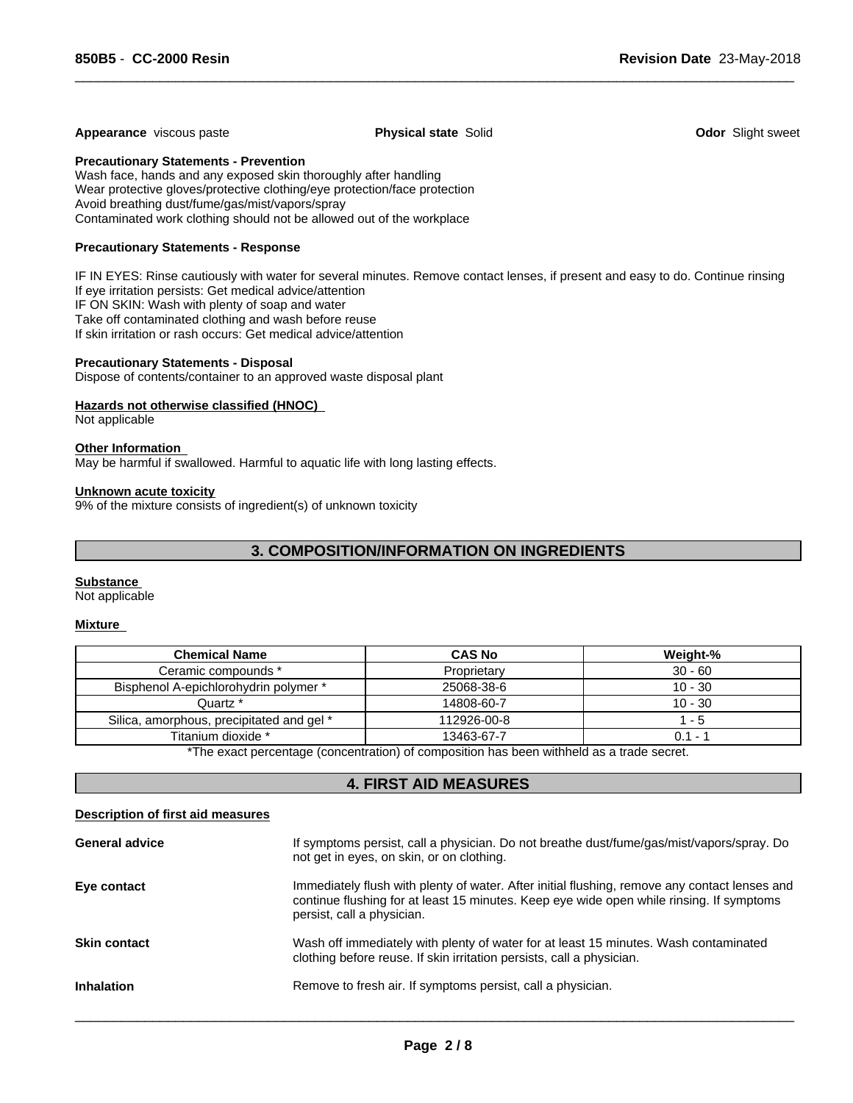## **Appearance** viscous paste **Physical state** Solid **Odor** Slight sweet

 $\overline{\phantom{a}}$  ,  $\overline{\phantom{a}}$  ,  $\overline{\phantom{a}}$  ,  $\overline{\phantom{a}}$  ,  $\overline{\phantom{a}}$  ,  $\overline{\phantom{a}}$  ,  $\overline{\phantom{a}}$  ,  $\overline{\phantom{a}}$  ,  $\overline{\phantom{a}}$  ,  $\overline{\phantom{a}}$  ,  $\overline{\phantom{a}}$  ,  $\overline{\phantom{a}}$  ,  $\overline{\phantom{a}}$  ,  $\overline{\phantom{a}}$  ,  $\overline{\phantom{a}}$  ,  $\overline{\phantom{a}}$ 

## **Precautionary Statements - Prevention**

Wash face, hands and any exposed skin thoroughly after handling Wear protective gloves/protective clothing/eye protection/face protection Avoid breathing dust/fume/gas/mist/vapors/spray Contaminated work clothing should not be allowed out of the workplace

## **Precautionary Statements - Response**

IF IN EYES: Rinse cautiously with water for several minutes. Remove contact lenses, if present and easy to do. Continue rinsing If eye irritation persists: Get medical advice/attention IF ON SKIN: Wash with plenty of soap and water Take off contaminated clothing and wash before reuse If skin irritation or rash occurs: Get medical advice/attention

#### **Precautionary Statements - Disposal**

Dispose of contents/container to an approved waste disposal plant

## **Hazards not otherwise classified (HNOC)**

Not applicable

## **Other Information**

May be harmful if swallowed. Harmful to aquatic life with long lasting effects.

#### **Unknown acute toxicity**

9% of the mixture consists of ingredient(s) of unknown toxicity

## **3. COMPOSITION/INFORMATION ON INGREDIENTS**

#### **Substance**

Not applicable

#### **Mixture**

| <b>Chemical Name</b>                      | <b>CAS No</b> | Weight-%  |
|-------------------------------------------|---------------|-----------|
| Ceramic compounds *                       | Proprietary   | $30 - 60$ |
| Bisphenol A-epichlorohydrin polymer *     | 25068-38-6    | $10 - 30$ |
| Quartz *                                  | 14808-60-7    | $10 - 30$ |
| Silica, amorphous, precipitated and gel * | 112926-00-8   | - 5       |
| Titanium dioxide *                        | 13463-67-7    | $0.1 - ?$ |

\*The exact percentage (concentration) of composition has been withheld as a trade secret.

## **4. FIRST AID MEASURES**

## **Description of first aid measures**

| <b>General advice</b> | If symptoms persist, call a physician. Do not breathe dust/fume/gas/mist/vapors/spray. Do<br>not get in eyes, on skin, or on clothing.                                                                                  |
|-----------------------|-------------------------------------------------------------------------------------------------------------------------------------------------------------------------------------------------------------------------|
| Eye contact           | Immediately flush with plenty of water. After initial flushing, remove any contact lenses and<br>continue flushing for at least 15 minutes. Keep eye wide open while rinsing. If symptoms<br>persist, call a physician. |
| <b>Skin contact</b>   | Wash off immediately with plenty of water for at least 15 minutes. Wash contaminated<br>clothing before reuse. If skin irritation persists, call a physician.                                                           |
| <b>Inhalation</b>     | Remove to fresh air. If symptoms persist, call a physician.                                                                                                                                                             |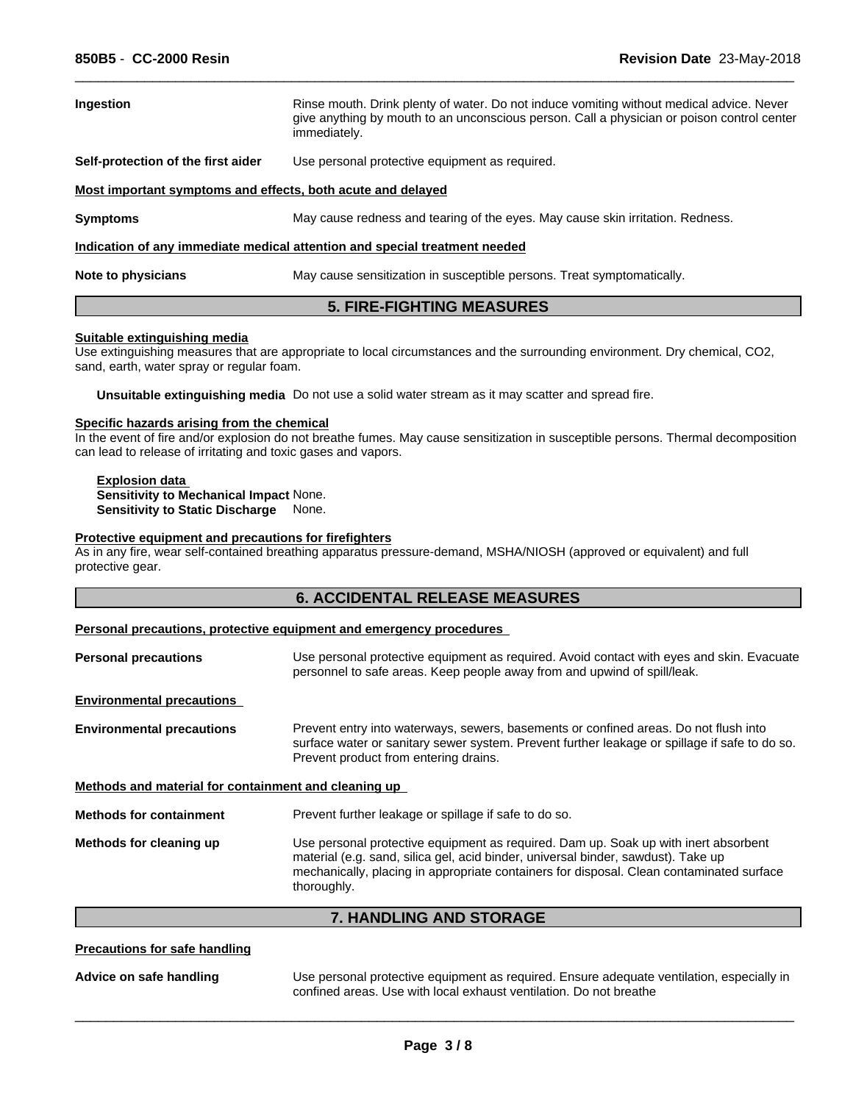| <b>Ingestion</b>                                            | Rinse mouth. Drink plenty of water. Do not induce vomiting without medical advice. Never<br>give anything by mouth to an unconscious person. Call a physician or poison control center<br>immediately. |  |
|-------------------------------------------------------------|--------------------------------------------------------------------------------------------------------------------------------------------------------------------------------------------------------|--|
| Self-protection of the first aider                          | Use personal protective equipment as required.                                                                                                                                                         |  |
| Most important symptoms and effects, both acute and delayed |                                                                                                                                                                                                        |  |
| <b>Symptoms</b>                                             | May cause redness and tearing of the eyes. May cause skin irritation. Redness.                                                                                                                         |  |
|                                                             | Indication of any immediate medical attention and special treatment needed                                                                                                                             |  |
| Note to physicians                                          | May cause sensitization in susceptible persons. Treat symptomatically.                                                                                                                                 |  |

 $\overline{\phantom{a}}$  ,  $\overline{\phantom{a}}$  ,  $\overline{\phantom{a}}$  ,  $\overline{\phantom{a}}$  ,  $\overline{\phantom{a}}$  ,  $\overline{\phantom{a}}$  ,  $\overline{\phantom{a}}$  ,  $\overline{\phantom{a}}$  ,  $\overline{\phantom{a}}$  ,  $\overline{\phantom{a}}$  ,  $\overline{\phantom{a}}$  ,  $\overline{\phantom{a}}$  ,  $\overline{\phantom{a}}$  ,  $\overline{\phantom{a}}$  ,  $\overline{\phantom{a}}$  ,  $\overline{\phantom{a}}$ 

## **5. FIRE-FIGHTING MEASURES**

## **Suitable extinguishing media**

Use extinguishing measures that are appropriate to local circumstances and the surrounding environment. Dry chemical, CO2, sand, earth, water spray or regular foam.

**Unsuitable extinguishing media** Do not use a solid water stream as it may scatter and spread fire.

#### **Specific hazards arising from the chemical**

In the event of fire and/or explosion do not breathe fumes. May cause sensitization in susceptible persons. Thermal decomposition can lead to release of irritating and toxic gases and vapors.

#### **Explosion data Sensitivity to Mechanical Impact** None. **Sensitivity to Static Discharge** None.

## **Protective equipment and precautions for firefighters**

As in any fire, wear self-contained breathing apparatus pressure-demand, MSHA/NIOSH (approved or equivalent) and full protective gear.

## **Personal precautions, protective equipment and emergency procedures**

| Use personal protective equipment as required. Avoid contact with eyes and skin. Evacuate<br>personnel to safe areas. Keep people away from and upwind of spill/leak.                                                                                                |  |
|----------------------------------------------------------------------------------------------------------------------------------------------------------------------------------------------------------------------------------------------------------------------|--|
|                                                                                                                                                                                                                                                                      |  |
| Prevent entry into waterways, sewers, basements or confined areas. Do not flush into<br>surface water or sanitary sewer system. Prevent further leakage or spillage if safe to do so.<br>Prevent product from entering drains.                                       |  |
| Methods and material for containment and cleaning up                                                                                                                                                                                                                 |  |
| Prevent further leakage or spillage if safe to do so.                                                                                                                                                                                                                |  |
| Use personal protective equipment as required. Dam up. Soak up with inert absorbent<br>material (e.g. sand, silica gel, acid binder, universal binder, sawdust). Take up<br>mechanically, placing in appropriate containers for disposal. Clean contaminated surface |  |
|                                                                                                                                                                                                                                                                      |  |

**7. HANDLING AND STORAGE**

## **Precautions for safe handling**

**Advice on safe handling** Use personal protective equipment as required. Ensure adequate ventilation, especially in confined areas. Use with local exhaust ventilation. Do not breathe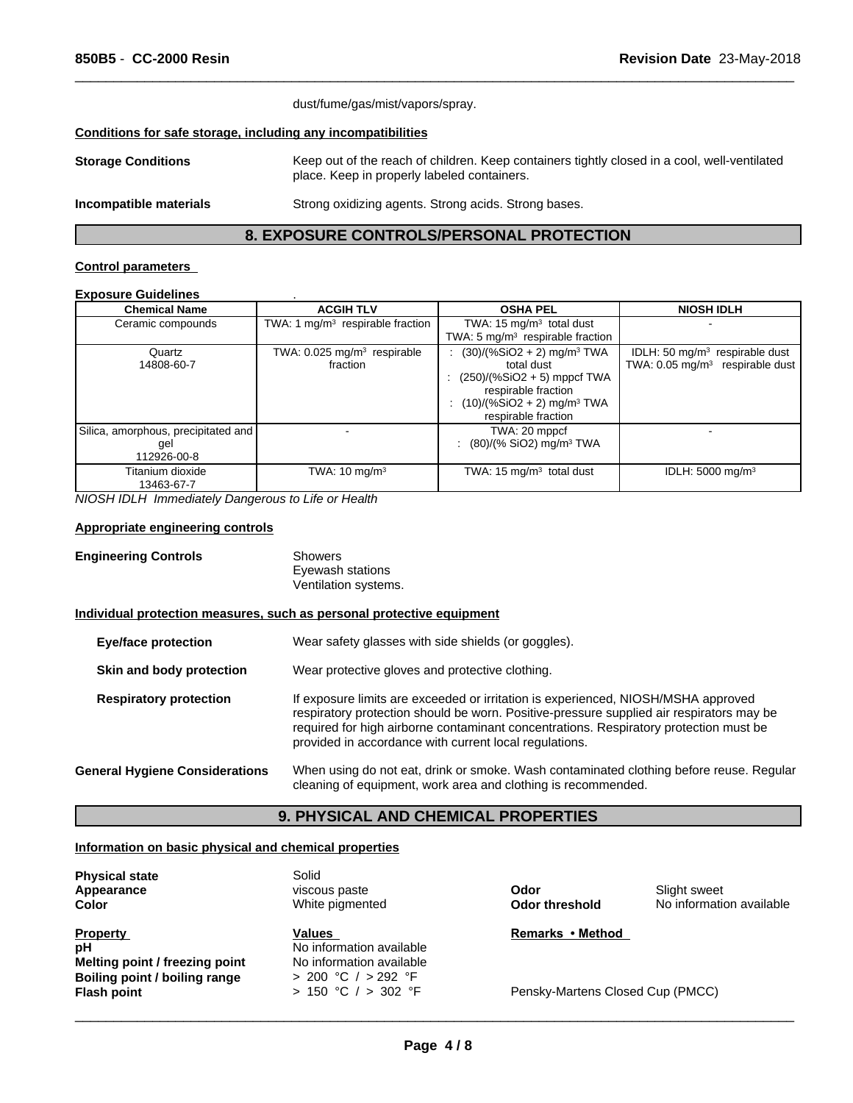|                                                              | dust/fume/gas/mist/vapors/spray.                                                                                                            |  |
|--------------------------------------------------------------|---------------------------------------------------------------------------------------------------------------------------------------------|--|
| Conditions for safe storage, including any incompatibilities |                                                                                                                                             |  |
| <b>Storage Conditions</b>                                    | Keep out of the reach of children. Keep containers tightly closed in a cool, well-ventilated<br>place. Keep in properly labeled containers. |  |
| Incompatible materials                                       | Strong oxidizing agents. Strong acids. Strong bases.                                                                                        |  |

 $\overline{\phantom{a}}$  ,  $\overline{\phantom{a}}$  ,  $\overline{\phantom{a}}$  ,  $\overline{\phantom{a}}$  ,  $\overline{\phantom{a}}$  ,  $\overline{\phantom{a}}$  ,  $\overline{\phantom{a}}$  ,  $\overline{\phantom{a}}$  ,  $\overline{\phantom{a}}$  ,  $\overline{\phantom{a}}$  ,  $\overline{\phantom{a}}$  ,  $\overline{\phantom{a}}$  ,  $\overline{\phantom{a}}$  ,  $\overline{\phantom{a}}$  ,  $\overline{\phantom{a}}$  ,  $\overline{\phantom{a}}$ 

## **8. EXPOSURE CONTROLS/PERSONAL PROTECTION**

## **Control parameters**

## **Exposure Guidelines** .

| <b>Chemical Name</b>                                        | <b>ACGIH TLV</b>                                    | <b>OSHA PEL</b>                                                                                                                                                                     | <b>NIOSH IDLH</b>                                                                 |
|-------------------------------------------------------------|-----------------------------------------------------|-------------------------------------------------------------------------------------------------------------------------------------------------------------------------------------|-----------------------------------------------------------------------------------|
| Ceramic compounds                                           | TWA: 1 $mg/m3$ respirable fraction                  | TWA: 15 $mg/m3$ total dust<br>TWA: $5 \text{ mg/m}^3$ respirable fraction                                                                                                           |                                                                                   |
| Quartz<br>14808-60-7                                        | TWA: 0.025 mg/m <sup>3</sup> respirable<br>fraction | $(30)/(%SiO2 + 2)$ mg/m <sup>3</sup> TWA<br>total dust<br>: $(250)/(%SiO2 + 5)$ mppcf TWA<br>respirable fraction<br>$(10)/(%SiO2 + 2)$ mg/m <sup>3</sup> TWA<br>respirable fraction | IDLH: 50 $mg/m3$ respirable dust<br>TWA: $0.05$ mg/m <sup>3</sup> respirable dust |
| Silica, amorphous, precipitated and  <br>gel<br>112926-00-8 |                                                     | TWA: 20 mppcf<br>: $(80)/(% SiO2)$ mg/m <sup>3</sup> TWA                                                                                                                            |                                                                                   |
| Titanium dioxide<br>13463-67-7                              | TWA: $10 \text{ mg/m}^3$                            | TWA: $15 \text{ mg/m}^3$ total dust                                                                                                                                                 | IDLH: 5000 mg/m <sup>3</sup>                                                      |

*NIOSH IDLH Immediately Dangerous to Life or Health*

## **Appropriate engineering controls**

| <b>Engineering Controls</b> | Showers              |
|-----------------------------|----------------------|
|                             | Eyewash stations     |
|                             | Ventilation systems. |

#### **Individual protection measures, such as personal protective equipment**

| <b>Eye/face protection</b>            | Wear safety glasses with side shields (or goggles).                                                                                                                                                                                                                                                                              |  |
|---------------------------------------|----------------------------------------------------------------------------------------------------------------------------------------------------------------------------------------------------------------------------------------------------------------------------------------------------------------------------------|--|
| Skin and body protection              | Wear protective gloves and protective clothing.                                                                                                                                                                                                                                                                                  |  |
| <b>Respiratory protection</b>         | If exposure limits are exceeded or irritation is experienced, NIOSH/MSHA approved<br>respiratory protection should be worn. Positive-pressure supplied air respirators may be<br>required for high airborne contaminant concentrations. Respiratory protection must be<br>provided in accordance with current local regulations. |  |
| <b>General Hygiene Considerations</b> | When using do not eat, drink or smoke. Wash contaminated clothing before reuse. Regular<br>cleaning of equipment, work area and clothing is recommended.                                                                                                                                                                         |  |

## **9. PHYSICAL AND CHEMICAL PROPERTIES**

### **Information on basic physical and chemical properties**

| <b>Physical state</b><br>Appearance<br><b>Color</b> | Solid<br>viscous paste<br>White pigmented | Odor<br><b>Odor threshold</b>    | Slight sweet<br>No information available |
|-----------------------------------------------------|-------------------------------------------|----------------------------------|------------------------------------------|
| <b>Property</b>                                     | <b>Values</b>                             | Remarks • Method                 |                                          |
| рH                                                  | No information available                  |                                  |                                          |
| Melting point / freezing point                      | No information available                  |                                  |                                          |
| Boiling point / boiling range                       | $> 200$ °C $/ > 292$ °F                   |                                  |                                          |
| <b>Flash point</b>                                  | $> 150$ °C $/ > 302$ °F                   | Pensky-Martens Closed Cup (PMCC) |                                          |

 $\overline{\phantom{a}}$  ,  $\overline{\phantom{a}}$  ,  $\overline{\phantom{a}}$  ,  $\overline{\phantom{a}}$  ,  $\overline{\phantom{a}}$  ,  $\overline{\phantom{a}}$  ,  $\overline{\phantom{a}}$  ,  $\overline{\phantom{a}}$  ,  $\overline{\phantom{a}}$  ,  $\overline{\phantom{a}}$  ,  $\overline{\phantom{a}}$  ,  $\overline{\phantom{a}}$  ,  $\overline{\phantom{a}}$  ,  $\overline{\phantom{a}}$  ,  $\overline{\phantom{a}}$  ,  $\overline{\phantom{a}}$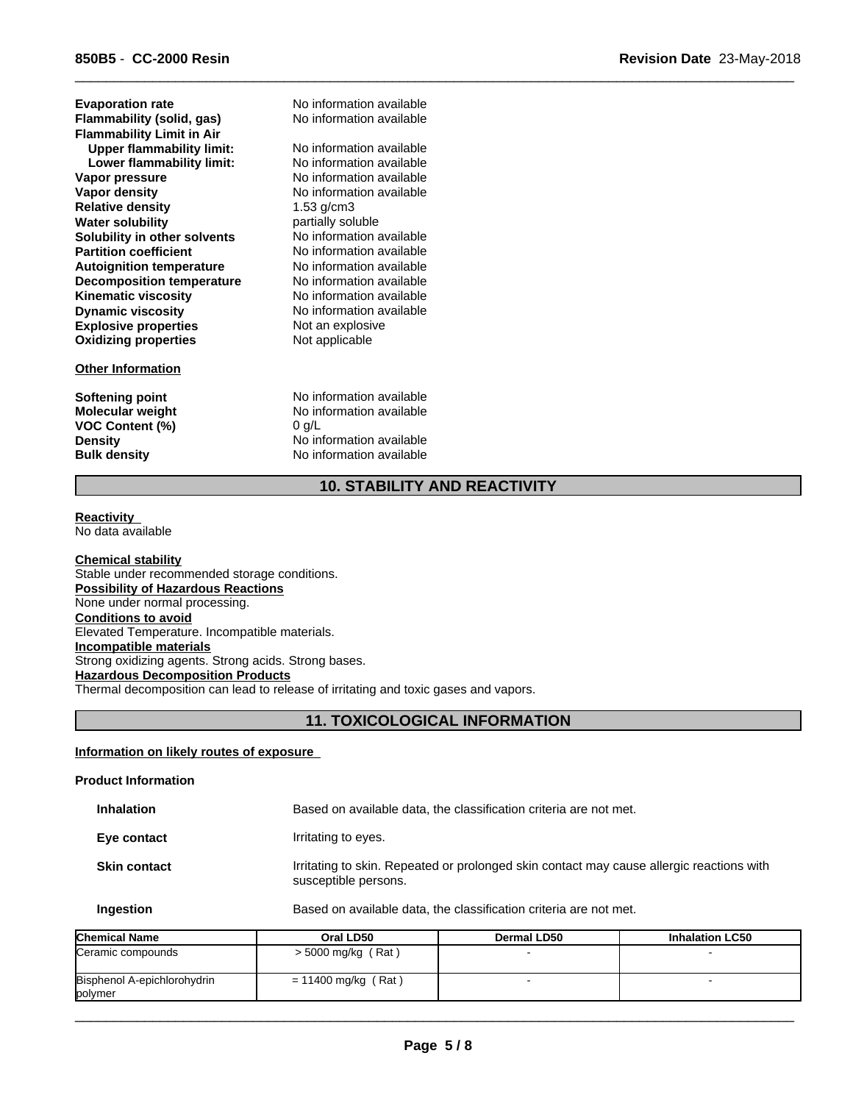**Explosive properties** Not an explosive<br> **Oxidizing properties** Not applicable **Oxidizing properties Water solubility**<br> **Solubility in other solvents** Mo information available **Solubility in other solvents** No information available<br> **Partition coefficient** No information available **Partition coefficient** No information available<br> **Autoignition temperature** No information available **Upper flammability limit:** No information available **Autoignition temperature Decomposition temperature** No information available **Kinematic viscosity** No information available **Lower flammability limit: Dynamic viscosity** No information available **Flammability (solid, gas)** No information available **Vapor pressure No information available**<br> **Vapor density No information available Evaporation rate Relative density Flammability Limit in Air**

## **Other Information**

**VOC Content (%)** 

No information available No information available No information available<br>1.53 q/cm3

**Softening point** No information available **Molecular weight** No information available<br> **VOC Content (%)** 0 g/L **Density** No information available **Bulk density** No information available

## **10. STABILITY AND REACTIVITY**

 $\overline{\phantom{a}}$  ,  $\overline{\phantom{a}}$  ,  $\overline{\phantom{a}}$  ,  $\overline{\phantom{a}}$  ,  $\overline{\phantom{a}}$  ,  $\overline{\phantom{a}}$  ,  $\overline{\phantom{a}}$  ,  $\overline{\phantom{a}}$  ,  $\overline{\phantom{a}}$  ,  $\overline{\phantom{a}}$  ,  $\overline{\phantom{a}}$  ,  $\overline{\phantom{a}}$  ,  $\overline{\phantom{a}}$  ,  $\overline{\phantom{a}}$  ,  $\overline{\phantom{a}}$  ,  $\overline{\phantom{a}}$ 

#### **Reactivity**  No data available

**Chemical stability** Stable under recommended storage conditions. **Possibility of Hazardous Reactions** None under normal processing. **Conditions to avoid** Elevated Temperature. Incompatible materials. **Incompatible materials** Strong oxidizing agents. Strong acids. Strong bases. **Hazardous Decomposition Products** Thermal decomposition can lead to release of irritating and toxic gases and vapors.

## **11. TOXICOLOGICAL INFORMATION**

## **Information on likely routes of exposure**

## **Product Information**

| <b>Inhalation</b>   | Based on available data, the classification criteria are not met.                                                |
|---------------------|------------------------------------------------------------------------------------------------------------------|
| Eye contact         | Irritating to eyes.                                                                                              |
| <b>Skin contact</b> | Irritating to skin. Repeated or prolonged skin contact may cause allergic reactions with<br>susceptible persons. |
| Ingestion           | Based on available data, the classification criteria are not met.                                                |

| <b>Chemical Name</b>                   | Oral LD50             | Dermal LD50 | <b>Inhalation LC50</b> |
|----------------------------------------|-----------------------|-------------|------------------------|
| Ceramic compounds                      | $>$ 5000 mg/kg (Rat)  |             |                        |
| Bisphenol A-epichlorohydrin<br>polymer | $= 11400$ mg/kg (Rat) |             |                        |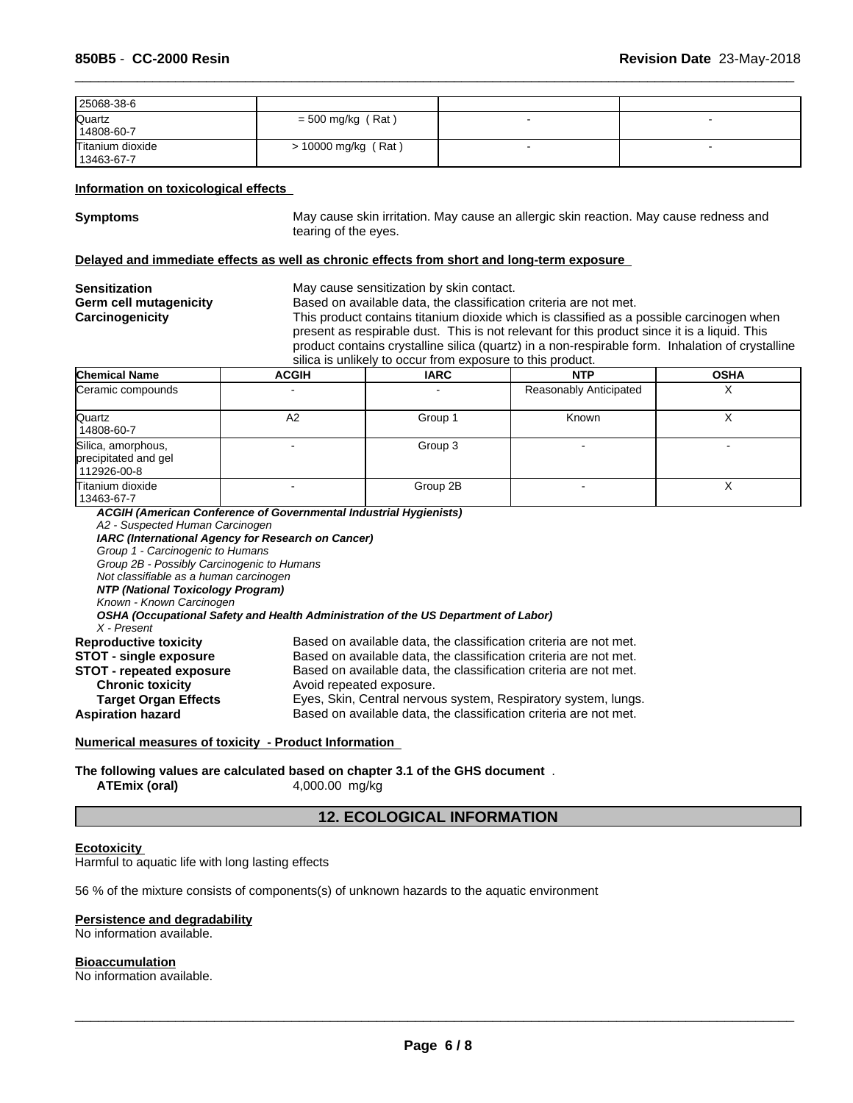| 25068-38-6                     |                     |   |
|--------------------------------|---------------------|---|
| Quartz<br>14808-60-7           | $=$ 500 mg/kg (Rat) | - |
| Titanium dioxide<br>13463-67-7 | > 10000 mg/kg (Rat) |   |

## **Information on toxicological effects**

**Symptoms** May cause skin irritation. May cause an allergic skin reaction. May cause redness and tearing of the eyes.

 $\overline{\phantom{a}}$  ,  $\overline{\phantom{a}}$  ,  $\overline{\phantom{a}}$  ,  $\overline{\phantom{a}}$  ,  $\overline{\phantom{a}}$  ,  $\overline{\phantom{a}}$  ,  $\overline{\phantom{a}}$  ,  $\overline{\phantom{a}}$  ,  $\overline{\phantom{a}}$  ,  $\overline{\phantom{a}}$  ,  $\overline{\phantom{a}}$  ,  $\overline{\phantom{a}}$  ,  $\overline{\phantom{a}}$  ,  $\overline{\phantom{a}}$  ,  $\overline{\phantom{a}}$  ,  $\overline{\phantom{a}}$ 

#### **Delayed and immediate effects as well as chronic effects from short and long-term exposure**

| Sensitization<br>Germ cell mutagenicity<br>Carcinogenicity |              | May cause sensitization by skin contact.<br>Based on available data, the classification criteria are not met.<br>This product contains titanium dioxide which is classified as a possible carcinogen when<br>present as respirable dust. This is not relevant for this product since it is a liquid. This<br>product contains crystalline silica (quartz) in a non-respirable form. Inhalation of crystalline<br>silica is unlikely to occur from exposure to this product. |                                |  |  |  |
|------------------------------------------------------------|--------------|-----------------------------------------------------------------------------------------------------------------------------------------------------------------------------------------------------------------------------------------------------------------------------------------------------------------------------------------------------------------------------------------------------------------------------------------------------------------------------|--------------------------------|--|--|--|
| Chemical Name                                              | <b>ACGIH</b> | <b>OSHA</b><br><b>IARC</b><br><b>NTP</b>                                                                                                                                                                                                                                                                                                                                                                                                                                    |                                |  |  |  |
| Ceramic compounds                                          |              |                                                                                                                                                                                                                                                                                                                                                                                                                                                                             | Reasonably Anticipated         |  |  |  |
| $\bigcap_{i=1}^{n}$                                        | Λ0.          | $C$ round                                                                                                                                                                                                                                                                                                                                                                                                                                                                   | $\mathcal{L}_{\mathsf{nonim}}$ |  |  |  |

| Quartz<br>14808-60-7                                      | A2                       | Group 1  | Known |  |
|-----------------------------------------------------------|--------------------------|----------|-------|--|
| Silica, amorphous,<br>precipitated and gel<br>112926-00-8 | $\overline{\phantom{0}}$ | Group 3  |       |  |
| Titanium dioxide<br>13463-67-7                            |                          | Group 2B |       |  |

*ACGIH (American Conference of Governmental Industrial Hygienists) A2 - Suspected Human Carcinogen IARC (International Agency for Research on Cancer) Group 1 - Carcinogenic to Humans Group 2B - Possibly Carcinogenic to Humans Not classifiable as a human carcinogen NTP (National Toxicology Program) Known - Known Carcinogen OSHA (Occupational Safety and Health Administration of the US Department of Labor) X - Present* **Reproductive toxicity** Based on available data, the classification criteria are not met. **STOT - single exposure** Based on available data, the classification criteria are not met. **STOT - repeated exposure** Based on available data, the classification criteria are not met. **Chronic toxicity Chronic toxicity Chronic toxicity Avoid repeated exposure.**<br> **Target Organ Effects** Eyes, Skin, Central nervou **Target Organ Effects** Eyes, Skin, Central nervous system, Respiratory system, lungs.<br>**Aspiration hazard** Based on available data, the classification criteria are not met. Based on available data, the classification criteria are not met.

#### **Numerical measures of toxicity - Product Information**

**The following values are calculated based on chapter 3.1 of the GHS document** . **ATEmix (oral)** 4,000.00 mg/kg

## **12. ECOLOGICAL INFORMATION**

## **Ecotoxicity**

Harmful to aquatic life with long lasting effects

56 % of the mixture consists of components(s) of unknown hazards to the aquatic environment

#### **Persistence and degradability**

No information available.

#### **Bioaccumulation**

No information available.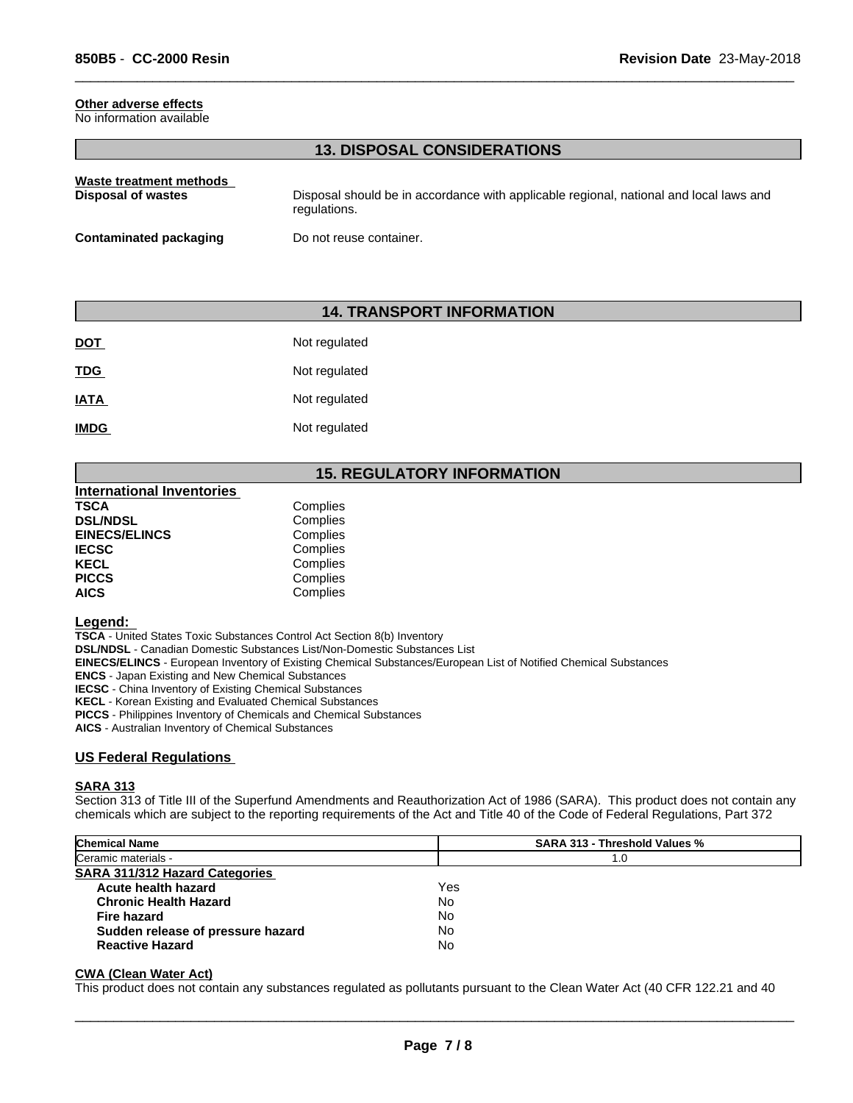## **Other adverse effects**

No information available

## **13. DISPOSAL CONSIDERATIONS**

 $\overline{\phantom{a}}$  ,  $\overline{\phantom{a}}$  ,  $\overline{\phantom{a}}$  ,  $\overline{\phantom{a}}$  ,  $\overline{\phantom{a}}$  ,  $\overline{\phantom{a}}$  ,  $\overline{\phantom{a}}$  ,  $\overline{\phantom{a}}$  ,  $\overline{\phantom{a}}$  ,  $\overline{\phantom{a}}$  ,  $\overline{\phantom{a}}$  ,  $\overline{\phantom{a}}$  ,  $\overline{\phantom{a}}$  ,  $\overline{\phantom{a}}$  ,  $\overline{\phantom{a}}$  ,  $\overline{\phantom{a}}$ 

| Waste treatment methods | Disposal should be in accordance with applicable regional, national and local laws and |
|-------------------------|----------------------------------------------------------------------------------------|
| Disposal of wastes      | regulations.                                                                           |
| Contaminated packaging  | Do not reuse container.                                                                |

## **14. TRANSPORT INFORMATION**

| <b>DOT</b>  | Not regulated |
|-------------|---------------|
| <b>TDG</b>  | Not regulated |
| <u>IATA</u> | Not regulated |
| <b>IMDG</b> | Not regulated |

## **15. REGULATORY INFORMATION**

| <b>International Inventories</b> |          |  |
|----------------------------------|----------|--|
| TSCA                             | Complies |  |
| <b>DSL/NDSL</b>                  | Complies |  |
| <b>EINECS/ELINCS</b>             | Complies |  |
| IECSC                            | Complies |  |
| KECL                             | Complies |  |
| <b>PICCS</b>                     | Complies |  |
| AICS                             | Complies |  |

#### **Legend:**

**TSCA** - United States Toxic Substances Control Act Section 8(b) Inventory

**DSL/NDSL** - Canadian Domestic Substances List/Non-Domestic Substances List

**EINECS/ELINCS** - European Inventory of Existing Chemical Substances/European List of Notified Chemical Substances

**ENCS** - Japan Existing and New Chemical Substances

**IECSC** - China Inventory of Existing Chemical Substances

**KECL** - Korean Existing and Evaluated Chemical Substances

**PICCS** - Philippines Inventory of Chemicals and Chemical Substances

**AICS** - Australian Inventory of Chemical Substances

## **US Federal Regulations**

#### **SARA 313**

Section 313 of Title III of the Superfund Amendments and Reauthorization Act of 1986 (SARA). This product does not contain any chemicals which are subject to the reporting requirements of the Act and Title 40 of the Code of Federal Regulations, Part 372

| <b>Chemical Name</b>                  | <b>SARA 313 - Threshold Values %</b> |  |
|---------------------------------------|--------------------------------------|--|
| Ceramic materials -                   | 1.0                                  |  |
| <b>SARA 311/312 Hazard Categories</b> |                                      |  |
| Acute health hazard                   | Yes                                  |  |
| <b>Chronic Health Hazard</b>          | No                                   |  |
| <b>Fire hazard</b>                    | No                                   |  |
| Sudden release of pressure hazard     | No                                   |  |
| <b>Reactive Hazard</b>                | No                                   |  |

## **CWA (Clean Water Act)**

This product does not contain any substances regulated as pollutants pursuant to the Clean Water Act (40 CFR 122.21 and 40